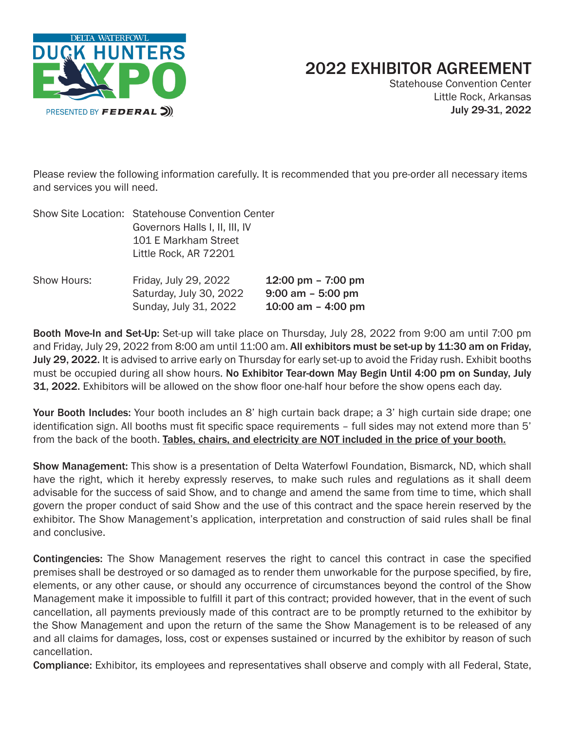

## 2022 EXHIBITOR AGREEMENT

Statehouse Convention Center Little Rock, Arkansas July 29-31, 2022

Please review the following information carefully. It is recommended that you pre-order all necessary items and services you will need.

| Show Site Location: Statehouse Convention Center |
|--------------------------------------------------|
| Governors Halls I, II, III, IV                   |
| 101 E Markham Street                             |
| Little Rock, AR 72201                            |
|                                                  |
|                                                  |

| Show Hours: | Friday, July 29, 2022   | 12:00 pm $-$ 7:00 pm |
|-------------|-------------------------|----------------------|
|             | Saturday, July 30, 2022 | $9:00$ am $-5:00$ pm |
|             | Sunday, July 31, 2022   | 10:00 am $-$ 4:00 pm |

Booth Move-In and Set-Up: Set-up will take place on Thursday, July 28, 2022 from 9:00 am until 7:00 pm and Friday, July 29, 2022 from 8:00 am until 11:00 am. All exhibitors must be set-up by 11:30 am on Friday, July 29, 2022. It is advised to arrive early on Thursday for early set-up to avoid the Friday rush. Exhibit booths must be occupied during all show hours. No Exhibitor Tear-down May Begin Until 4:00 pm on Sunday, July 31, 2022. Exhibitors will be allowed on the show floor one-half hour before the show opens each day.

Your Booth Includes: Your booth includes an 8' high curtain back drape; a 3' high curtain side drape; one identification sign. All booths must fit specific space requirements – full sides may not extend more than 5' from the back of the booth. Tables, chairs, and electricity are NOT included in the price of your booth.

Show Management: This show is a presentation of Delta Waterfowl Foundation, Bismarck, ND, which shall have the right, which it hereby expressly reserves, to make such rules and regulations as it shall deem advisable for the success of said Show, and to change and amend the same from time to time, which shall govern the proper conduct of said Show and the use of this contract and the space herein reserved by the exhibitor. The Show Management's application, interpretation and construction of said rules shall be final and conclusive.

Contingencies: The Show Management reserves the right to cancel this contract in case the specified premises shall be destroyed or so damaged as to render them unworkable for the purpose specified, by fire, elements, or any other cause, or should any occurrence of circumstances beyond the control of the Show Management make it impossible to fulfill it part of this contract; provided however, that in the event of such cancellation, all payments previously made of this contract are to be promptly returned to the exhibitor by the Show Management and upon the return of the same the Show Management is to be released of any and all claims for damages, loss, cost or expenses sustained or incurred by the exhibitor by reason of such cancellation.

Compliance: Exhibitor, its employees and representatives shall observe and comply with all Federal, State,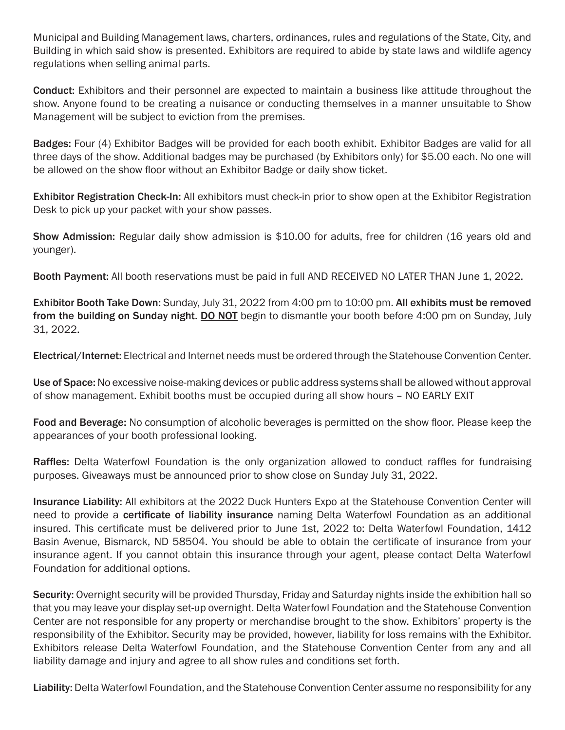Municipal and Building Management laws, charters, ordinances, rules and regulations of the State, City, and Building in which said show is presented. Exhibitors are required to abide by state laws and wildlife agency regulations when selling animal parts.

Conduct: Exhibitors and their personnel are expected to maintain a business like attitude throughout the show. Anyone found to be creating a nuisance or conducting themselves in a manner unsuitable to Show Management will be subject to eviction from the premises.

Badges: Four (4) Exhibitor Badges will be provided for each booth exhibit. Exhibitor Badges are valid for all three days of the show. Additional badges may be purchased (by Exhibitors only) for \$5.00 each. No one will be allowed on the show floor without an Exhibitor Badge or daily show ticket.

Exhibitor Registration Check-In: All exhibitors must check-in prior to show open at the Exhibitor Registration Desk to pick up your packet with your show passes.

Show Admission: Regular daily show admission is \$10.00 for adults, free for children (16 years old and younger).

Booth Payment: All booth reservations must be paid in full AND RECEIVED NO LATER THAN June 1, 2022.

Exhibitor Booth Take Down: Sunday, July 31, 2022 from 4:00 pm to 10:00 pm. All exhibits must be removed from the building on Sunday night. DO NOT begin to dismantle your booth before 4:00 pm on Sunday, July 31, 2022.

Electrical/Internet: Electrical and Internet needs must be ordered through the Statehouse Convention Center.

Use of Space: No excessive noise-making devices or public address systems shall be allowed without approval of show management. Exhibit booths must be occupied during all show hours – NO EARLY EXIT

Food and Beverage: No consumption of alcoholic beverages is permitted on the show floor. Please keep the appearances of your booth professional looking.

Raffles: Delta Waterfowl Foundation is the only organization allowed to conduct raffles for fundraising purposes. Giveaways must be announced prior to show close on Sunday July 31, 2022.

Insurance Liability: All exhibitors at the 2022 Duck Hunters Expo at the Statehouse Convention Center will need to provide a certificate of liability insurance naming Delta Waterfowl Foundation as an additional insured. This certificate must be delivered prior to June 1st, 2022 to: Delta Waterfowl Foundation, 1412 Basin Avenue, Bismarck, ND 58504. You should be able to obtain the certificate of insurance from your insurance agent. If you cannot obtain this insurance through your agent, please contact Delta Waterfowl Foundation for additional options.

Security: Overnight security will be provided Thursday, Friday and Saturday nights inside the exhibition hall so that you may leave your display set-up overnight. Delta Waterfowl Foundation and the Statehouse Convention Center are not responsible for any property or merchandise brought to the show. Exhibitors' property is the responsibility of the Exhibitor. Security may be provided, however, liability for loss remains with the Exhibitor. Exhibitors release Delta Waterfowl Foundation, and the Statehouse Convention Center from any and all liability damage and injury and agree to all show rules and conditions set forth.

Liability: Delta Waterfowl Foundation, and the Statehouse Convention Center assume no responsibility for any